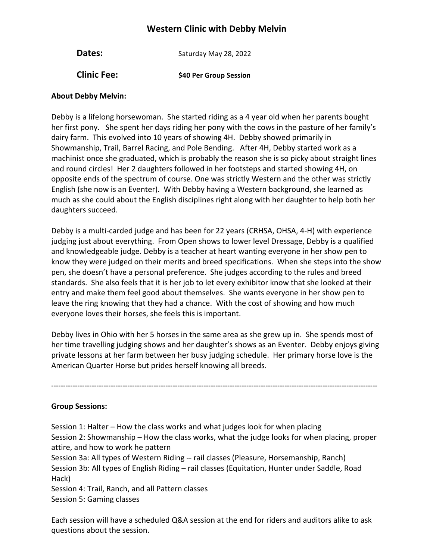## **Western Clinic with Debby Melvin**

| Dates:             | Saturday May 28, 2022  |  |  |
|--------------------|------------------------|--|--|
| <b>Clinic Fee:</b> | \$40 Per Group Session |  |  |

## **About Debby Melvin:**

Debby is a lifelong horsewoman. She started riding as a 4 year old when her parents bought her first pony. She spent her days riding her pony with the cows in the pasture of her family's dairy farm. This evolved into 10 years of showing 4H. Debby showed primarily in Showmanship, Trail, Barrel Racing, and Pole Bending. After 4H, Debby started work as a machinist once she graduated, which is probably the reason she is so picky about straight lines and round circles! Her 2 daughters followed in her footsteps and started showing 4H, on opposite ends of the spectrum of course. One was strictly Western and the other was strictly English (she now is an Eventer). With Debby having a Western background, she learned as much as she could about the English disciplines right along with her daughter to help both her daughters succeed.

Debby is a multi-carded judge and has been for 22 years (CRHSA, OHSA, 4-H) with experience judging just about everything. From Open shows to lower level Dressage, Debby is a qualified and knowledgeable judge. Debby is a teacher at heart wanting everyone in her show pen to know they were judged on their merits and breed specifications. When she steps into the show pen, she doesn't have a personal preference. She judges according to the rules and breed standards. She also feels that it is her job to let every exhibitor know that she looked at their entry and make them feel good about themselves. She wants everyone in her show pen to leave the ring knowing that they had a chance. With the cost of showing and how much everyone loves their horses, she feels this is important.

Debby lives in Ohio with her 5 horses in the same area as she grew up in. She spends most of her time travelling judging shows and her daughter's shows as an Eventer. Debby enjoys giving private lessons at her farm between her busy judging schedule. Her primary horse love is the American Quarter Horse but prides herself knowing all breeds.

**-----------------------------------------------------------------------------------------------------------------------------------------**

**Group Sessions:**

Session 1: Halter – How the class works and what judges look for when placing Session 2: Showmanship – How the class works, what the judge looks for when placing, proper attire, and how to work he pattern

Session 3a: All types of Western Riding -- rail classes (Pleasure, Horsemanship, Ranch) Session 3b: All types of English Riding - rail classes (Equitation, Hunter under Saddle, Road Hack)

Session 4: Trail, Ranch, and all Pattern classes Session 5: Gaming classes

Each session will have a scheduled Q&A session at the end for riders and auditors alike to ask questions about the session.